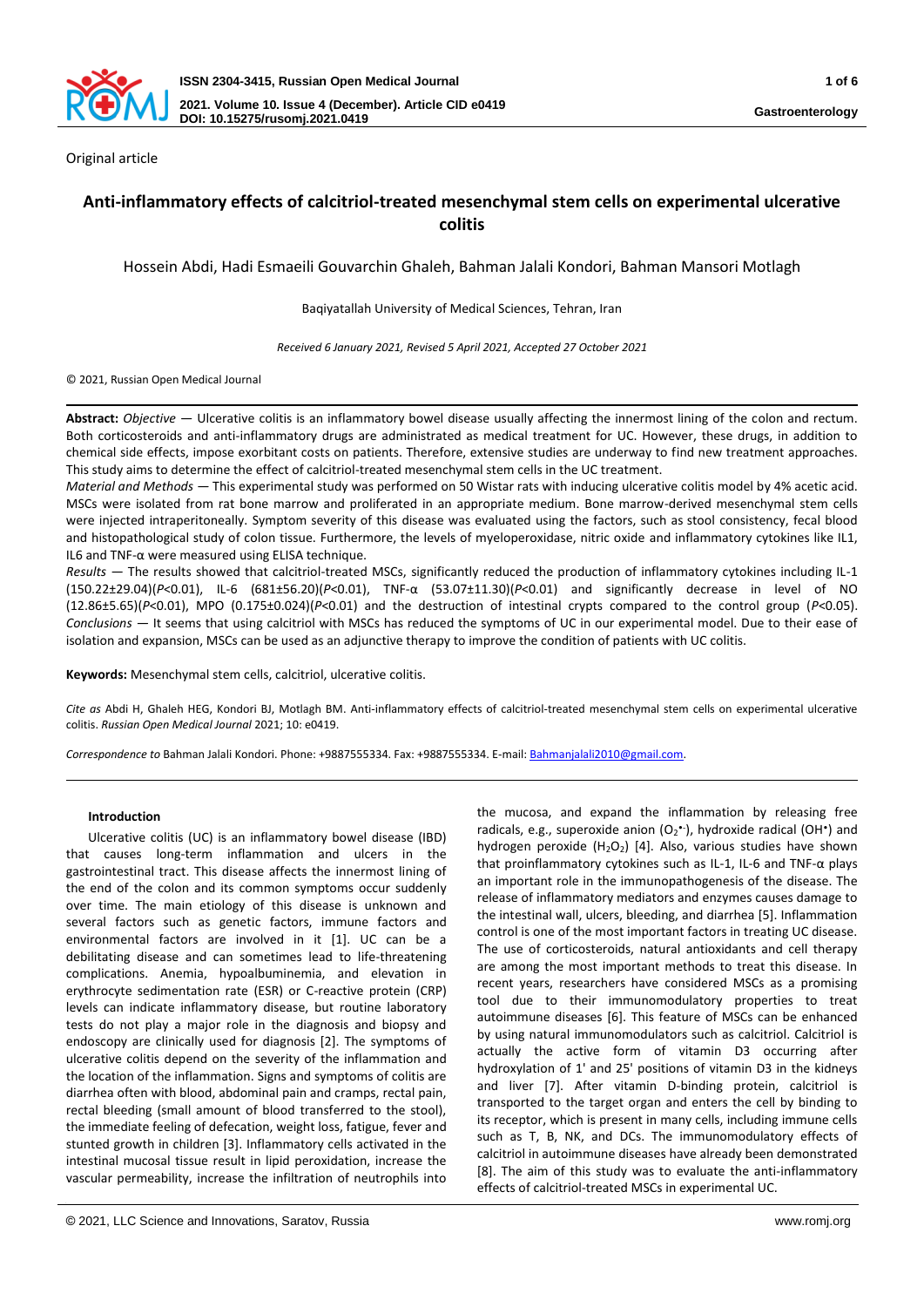

Original article

# **Anti-inflammatory effects of calcitriol-treated mesenchymal stem cells on experimental ulcerative colitis**

Hossein Abdi, Hadi Esmaeili Gouvarchin Ghaleh, Bahman Jalali Kondori, Bahman Mansori Motlagh

Baqiyatallah University of Medical Sciences, Tehran, Iran

*Received 6 January 2021, Revised 5 April 2021, Accepted 27 October 2021*

© 2021, Russian Open Medical Journal

**Abstract:** *Objective —* Ulcerative colitis is an inflammatory bowel disease usually affecting the innermost lining of the colon and rectum. Both corticosteroids and anti-inflammatory drugs are administrated as medical treatment for UC. However, these drugs, in addition to chemical side effects, impose exorbitant costs on patients. Therefore, extensive studies are underway to find new treatment approaches. This study aims to determine the effect of calcitriol-treated mesenchymal stem cells in the UC treatment.

*Material and Methods —* This experimental study was performed on 50 Wistar rats with inducing ulcerative colitis model by 4% acetic acid. MSCs were isolated from rat bone marrow and proliferated in an appropriate medium. Bone marrow-derived mesenchymal stem cells were injected intraperitoneally. Symptom severity of this disease was evaluated using the factors, such as stool consistency, fecal blood and histopathological study of colon tissue. Furthermore, the levels of myeloperoxidase, nitric oxide and inflammatory cytokines like IL1, IL6 and TNF-α were measured using ELISA technique.

*Results —* The results showed that calcitriol-treated MSCs, significantly reduced the production of inflammatory cytokines including IL-1 (150.22±29.04)(*P*<0.01), IL-6 (681±56.20)(*P*<0.01), TNF-α (53.07±11.30)(*P*<0.01) and significantly decrease in level of NO (12.86±5.65)(*P*<0.01), MPO (0.175±0.024)(*P*<0.01) and the destruction of intestinal crypts compared to the control group (*P*<0.05). *Conclusions —* It seems that using calcitriol with MSCs has reduced the symptoms of UC in our experimental model. Due to their ease of isolation and expansion, MSCs can be used as an adjunctive therapy to improve the condition of patients with UC colitis.

**Keywords:** Mesenchymal stem cells, calcitriol, ulcerative colitis.

*Cite as* Abdi H, Ghaleh HEG, Kondori BJ, Motlagh BM. Anti-inflammatory effects of calcitriol-treated mesenchymal stem cells on experimental ulcerative colitis. *Russian Open Medical Journal* 2021; 10: e0419.

*Correspondence to* Bahman Jalali Kondori. Phone: +9887555334. Fax: +9887555334. E-mail[: Bahmanjalali2010@gmail.com.](mailto:Bahmanjalali2010@gmail.com) 

### **Introduction**

Ulcerative colitis (UC) is an inflammatory bowel disease (IBD) that causes long-term inflammation and ulcers in the gastrointestinal tract. This disease affects the innermost lining of the end of the colon and its common symptoms occur suddenly over time. The main etiology of this disease is unknown and several factors such as genetic factors, immune factors and environmental factors are involved in it [1]. UC can be a debilitating disease and can sometimes lead to life-threatening complications. Anemia, hypoalbuminemia, and elevation in erythrocyte sedimentation rate (ESR) or C-reactive protein (CRP) levels can indicate inflammatory disease, but routine laboratory tests do not play a major role in the diagnosis and biopsy and endoscopy are clinically used for diagnosis [2]. The symptoms of ulcerative colitis depend on the severity of the inflammation and the location of the inflammation. Signs and symptoms of colitis are diarrhea often with blood, abdominal pain and cramps, rectal pain, rectal bleeding (small amount of blood transferred to the stool), the immediate feeling of defecation, weight loss, fatigue, fever and stunted growth in children [3]. Inflammatory cells activated in the intestinal mucosal tissue result in lipid peroxidation, increase the vascular permeability, increase the infiltration of neutrophils into

the mucosa, and expand the inflammation by releasing free radicals, e.g., superoxide anion (O<sub>2</sub><sup>\*</sup>), hydroxide radical (OH<sup>\*</sup>) and hydrogen peroxide  $(H_2O_2)$  [4]. Also, various studies have shown that proinflammatory cytokines such as IL-1, IL-6 and TNF-α plays an important role in the immunopathogenesis of the disease. The release of inflammatory mediators and enzymes causes damage to the intestinal wall, ulcers, bleeding, and diarrhea [5]. Inflammation control is one of the most important factors in treating UC disease. The use of corticosteroids, natural antioxidants and cell therapy are among the most important methods to treat this disease. In recent years, researchers have considered MSCs as a promising tool due to their immunomodulatory properties to treat autoimmune diseases [6]. This feature of MSCs can be enhanced by using natural immunomodulators such as calcitriol. Calcitriol is actually the active form of vitamin D3 occurring after hydroxylation of 1' and 25' positions of vitamin D3 in the kidneys and liver [7]. After vitamin D-binding protein, calcitriol is transported to the target organ and enters the cell by binding to its receptor, which is present in many cells, including immune cells such as T, B, NK, and DCs. The immunomodulatory effects of calcitriol in autoimmune diseases have already been demonstrated [8]. The aim of this study was to evaluate the anti-inflammatory effects of calcitriol-treated MSCs in experimental UC.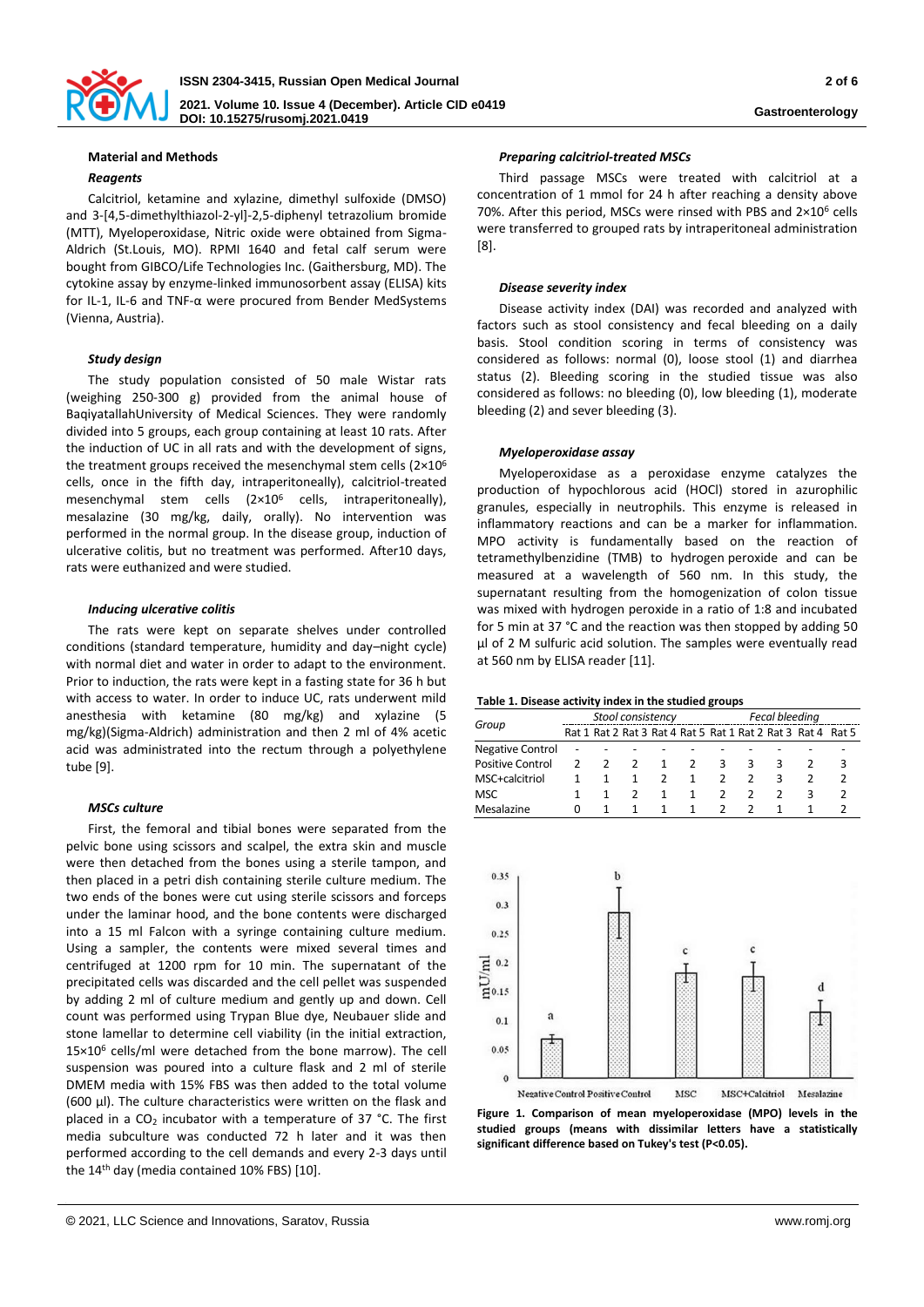

## **Material and Methods**

### *Reagents*

Calcitriol, ketamine and xylazine, dimethyl sulfoxide (DMSO) and 3-[4,5-dimethylthiazol-2-yl]-2,5-diphenyl tetrazolium bromide (MTT), Myeloperoxidase, Nitric oxide were obtained from Sigma-Aldrich (St.Louis, MO). RPMI 1640 and fetal calf serum were bought from GIBCO/Life Technologies Inc. (Gaithersburg, MD). The cytokine assay by enzyme-linked immunosorbent assay (ELISA) kits for IL-1, IL-6 and TNF-α were procured from Bender MedSystems (Vienna, Austria).

## *Study design*

The study population consisted of 50 male Wistar rats (weighing 250-300 g) provided from the animal house of BaqiyatallahUniversity of Medical Sciences. They were randomly divided into 5 groups, each group containing at least 10 rats. After the induction of UC in all rats and with the development of signs, the treatment groups received the mesenchymal stem cells (2×10<sup>6</sup> cells, once in the fifth day, intraperitoneally), calcitriol-treated mesenchymal stem cells (2×10<sup>6</sup> cells, intraperitoneally), mesalazine (30 mg/kg, daily, orally). No intervention was performed in the normal group. In the disease group, induction of ulcerative colitis, but no treatment was performed. After10 days, rats were euthanized and were studied.

#### *Inducing ulcerative colitis*

The rats were kept on separate shelves under controlled conditions (standard temperature, humidity and day–night cycle) with normal diet and water in order to adapt to the environment. Prior to induction, the rats were kept in a fasting state for 36 h but with access to water. In order to induce UC, rats underwent mild anesthesia with ketamine (80 mg/kg) and xylazine (5 mg/kg)(Sigma-Aldrich) administration and then 2 ml of 4% acetic acid was administrated into the rectum through a polyethylene tube [9].

### *MSCs culture*

First, the femoral and tibial bones were separated from the pelvic bone using scissors and scalpel, the extra skin and muscle were then detached from the bones using a sterile tampon, and then placed in a petri dish containing sterile culture medium. The two ends of the bones were cut using sterile scissors and forceps under the laminar hood, and the bone contents were discharged into a 15 ml Falcon with a syringe containing culture medium. Using a sampler, the contents were mixed several times and centrifuged at 1200 rpm for 10 min. The supernatant of the precipitated cells was discarded and the cell pellet was suspended by adding 2 ml of culture medium and gently up and down. Cell count was performed using Trypan Blue dye, Neubauer slide and stone lamellar to determine cell viability (in the initial extraction, 15×10<sup>6</sup> cells/ml were detached from the bone marrow). The cell suspension was poured into a culture flask and 2 ml of sterile DMEM media with 15% FBS was then added to the total volume (600 μl). The culture characteristics were written on the flask and placed in a  $CO<sub>2</sub>$  incubator with a temperature of 37 °C. The first media subculture was conducted 72 h later and it was then performed according to the cell demands and every 2-3 days until the 14th day (media contained 10% FBS) [10].

### *Preparing calcitriol-treated MSCs*

Third passage MSCs were treated with calcitriol at a concentration of 1 mmol for 24 h after reaching a density above 70%. After this period, MSCs were rinsed with PBS and 2×10<sup>6</sup> cells were transferred to grouped rats by intraperitoneal administration [8].

### *Disease severity index*

Disease activity index (DAI) was recorded and analyzed with factors such as stool consistency and fecal bleeding on a daily basis. Stool condition scoring in terms of consistency was considered as follows: normal (0), loose stool (1) and diarrhea status (2). Bleeding scoring in the studied tissue was also considered as follows: no bleeding (0), low bleeding (1), moderate bleeding (2) and sever bleeding (3).

#### *Myeloperoxidase assay*

Myeloperoxidase as a peroxidase enzyme catalyzes the production of hypochlorous acid (HOCl) stored in azurophilic granules, especially in neutrophils. This enzyme is released in inflammatory reactions and can be a marker for inflammation. MPO activity is fundamentally based on the reaction of tetramethylbenzidine (TMB) to hydrogen peroxide and can be measured at a wavelength of 560 nm. In this study, the supernatant resulting from the homogenization of colon tissue was mixed with hydrogen peroxide in a ratio of 1:8 and incubated for 5 min at 37 °C and the reaction was then stopped by adding 50 μl of 2 M sulfuric acid solution. The samples were eventually read at 560 nm by ELISA reader [11].

#### **Table 1. Disease activity index in the studied groups**

| Group                   | Stool consistency |                |  |    |    | Fecal bleeding |   |   |                                                             |  |
|-------------------------|-------------------|----------------|--|----|----|----------------|---|---|-------------------------------------------------------------|--|
|                         |                   |                |  |    |    |                |   |   | Rat 1 Rat 2 Rat 3 Rat 4 Rat 5 Rat 1 Rat 2 Rat 3 Rat 4 Rat 5 |  |
| <b>Negative Control</b> |                   |                |  |    |    |                |   |   |                                                             |  |
| <b>Positive Control</b> |                   | $\overline{2}$ |  | -1 | 2  | 3.             | З | 3 |                                                             |  |
| MSC+calcitriol          |                   |                |  |    | -1 |                |   |   |                                                             |  |
| <b>MSC</b>              |                   |                |  | 1  | 1  |                |   |   | R                                                           |  |
| Mesalazine              | $^{(1)}$          |                |  |    | 1  |                |   |   |                                                             |  |



**Figure 1. Comparison of mean myeloperoxidase (MPO) levels in the studied groups (means with dissimilar letters have a statistically significant difference based on Tukey's test (P<0.05).**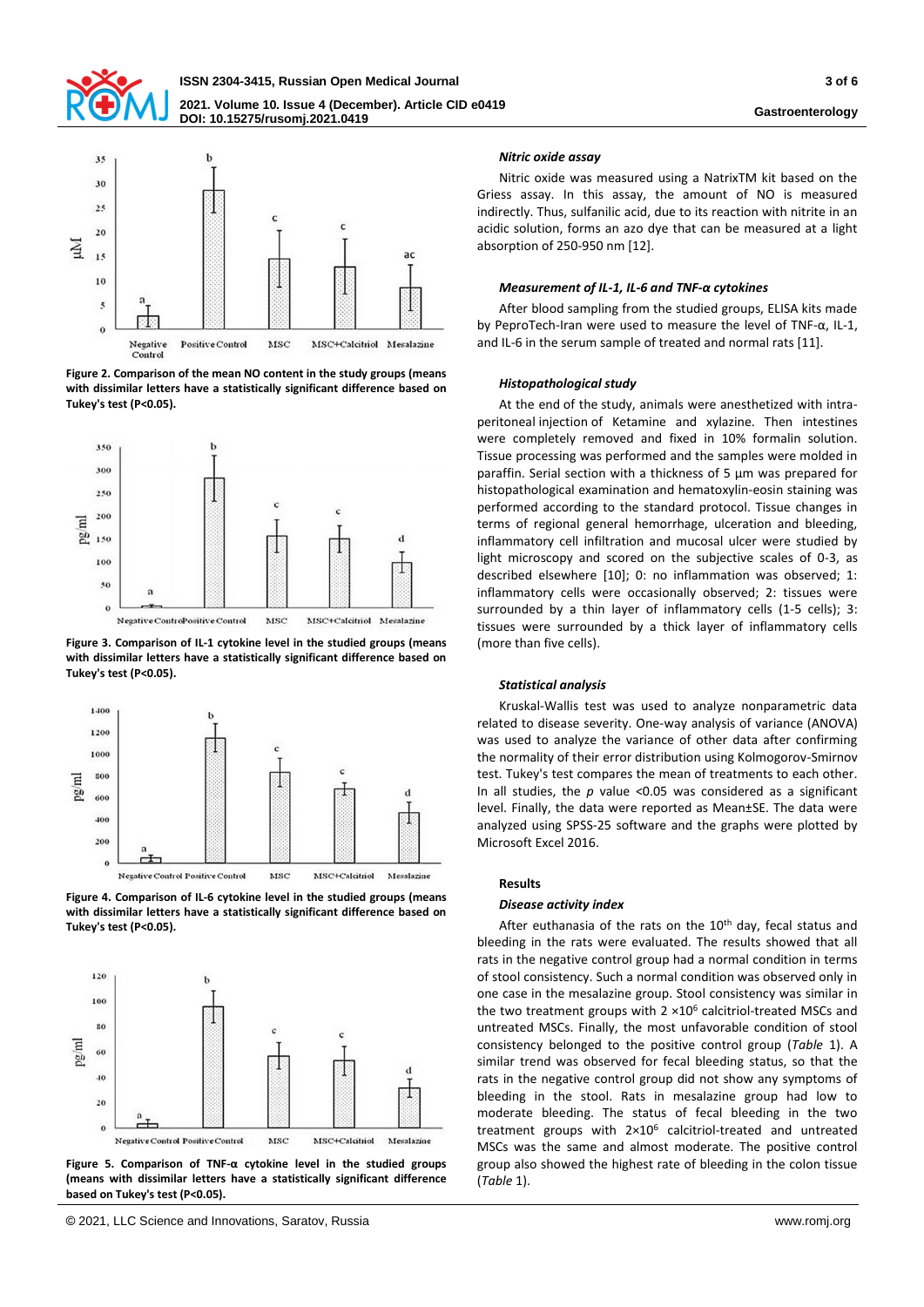



**Figure 2. Comparison of the mean NO content in the study groups (means with dissimilar letters have a statistically significant difference based on Tukey's test (P<0.05).**



**Figure 3. Comparison of IL-1 cytokine level in the studied groups (means with dissimilar letters have a statistically significant difference based on Tukey's test (P<0.05).**







**Figure 5. Comparison of TNF-α cytokine level in the studied groups (means with dissimilar letters have a statistically significant difference based on Tukey's test (P<0.05).**

### *Nitric oxide assay*

Nitric oxide was measured using a NatrixTM kit based on the Griess assay. In this assay, the amount of NO is measured indirectly. Thus, sulfanilic acid, due to its reaction with nitrite in an acidic solution, forms an azo dye that can be measured at a light absorption of 250-950 nm [12].

#### *Measurement of IL-1, IL-6 and TNF-α cytokines*

After blood sampling from the studied groups, ELISA kits made by PeproTech-Iran were used to measure the level of TNF-α, IL-1, and IL-6 in the serum sample of treated and normal rats [11].

#### *Histopathological study*

At the end of the study, animals were anesthetized with intraperitoneal injection of Ketamine and xylazine. Then intestines were completely removed and fixed in 10% formalin solution. Tissue processing was performed and the samples were molded in paraffin. Serial section with a thickness of 5 μm was prepared for histopathological examination and hematoxylin-eosin staining was performed according to the standard protocol. Tissue changes in terms of regional general hemorrhage, ulceration and bleeding, inflammatory cell infiltration and mucosal ulcer were studied by light microscopy and scored on the subjective scales of 0-3, as described elsewhere [10]; 0: no inflammation was observed; 1: inflammatory cells were occasionally observed; 2: tissues were surrounded by a thin layer of inflammatory cells (1-5 cells); 3: tissues were surrounded by a thick layer of inflammatory cells (more than five cells).

#### *Statistical analysis*

Kruskal-Wallis test was used to analyze nonparametric data related to disease severity. One-way analysis of variance (ANOVA) was used to analyze the variance of other data after confirming the normality of their error distribution using Kolmogorov-Smirnov test. Tukey's test compares the mean of treatments to each other. In all studies, the *p* value <0.05 was considered as a significant level. Finally, the data were reported as Mean±SE. The data were analyzed using SPSS-25 software and the graphs were plotted by Microsoft Excel 2016.

#### **Results**

#### *Disease activity index*

After euthanasia of the rats on the 10<sup>th</sup> day, fecal status and bleeding in the rats were evaluated. The results showed that all rats in the negative control group had a normal condition in terms of stool consistency. Such a normal condition was observed only in one case in the mesalazine group. Stool consistency was similar in the two treatment groups with  $2 \times 10^6$  calcitriol-treated MSCs and untreated MSCs. Finally, the most unfavorable condition of stool consistency belonged to the positive control group (*Table* 1). A similar trend was observed for fecal bleeding status, so that the rats in the negative control group did not show any symptoms of bleeding in the stool. Rats in mesalazine group had low to moderate bleeding. The status of fecal bleeding in the two treatment groups with 2×10<sup>6</sup> calcitriol-treated and untreated MSCs was the same and almost moderate. The positive control group also showed the highest rate of bleeding in the colon tissue (*Table* 1).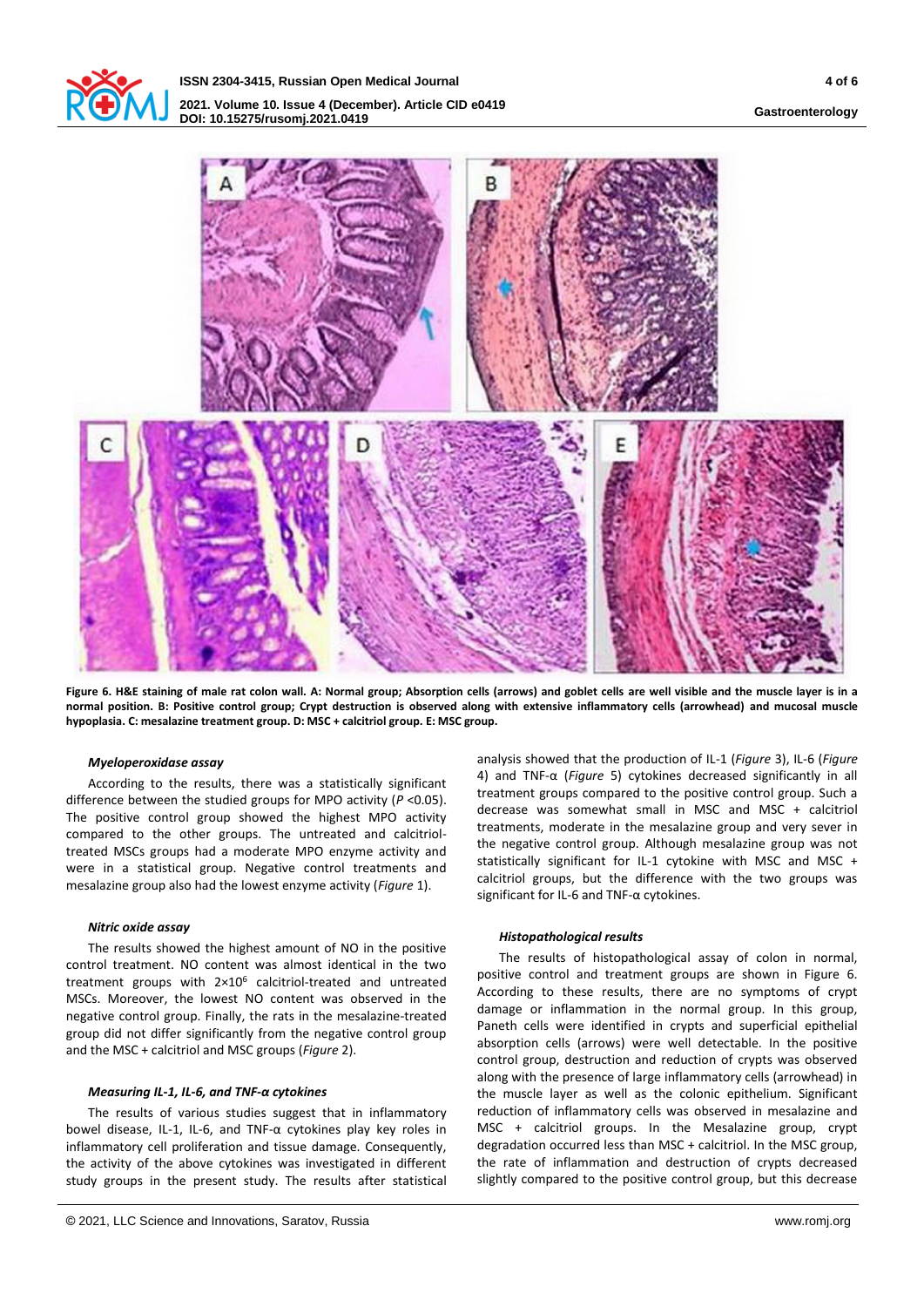



**Figure 6. H&E staining of male rat colon wall. A: Normal group; Absorption cells (arrows) and goblet cells are well visible and the muscle layer is in a normal position. B: Positive control group; Crypt destruction is observed along with extensive inflammatory cells (arrowhead) and mucosal muscle hypoplasia. C: mesalazine treatment group. D: MSC + calcitriol group. E: MSC group.**

### *Myeloperoxidase assay*

According to the results, there was a statistically significant difference between the studied groups for MPO activity (*P* <0.05). The positive control group showed the highest MPO activity compared to the other groups. The untreated and calcitrioltreated MSCs groups had a moderate MPO enzyme activity and were in a statistical group. Negative control treatments and mesalazine group also had the lowest enzyme activity (*Figure* 1).

### *Nitric oxide assay*

The results showed the highest amount of NO in the positive control treatment. NO content was almost identical in the two treatment groups with 2×10<sup>6</sup> calcitriol-treated and untreated MSCs. Moreover, the lowest NO content was observed in the negative control group. Finally, the rats in the mesalazine-treated group did not differ significantly from the negative control group and the MSC + calcitriol and MSC groups (*Figure* 2).

### *Measuring IL-1, IL-6, and TNF-α cytokines*

The results of various studies suggest that in inflammatory bowel disease, IL-1, IL-6, and TNF-α cytokines play key roles in inflammatory cell proliferation and tissue damage. Consequently, the activity of the above cytokines was investigated in different study groups in the present study. The results after statistical

analysis showed that the production of IL-1 (*Figure* 3), IL-6 (*Figure* 4) and TNF-α (*Figure* 5) cytokines decreased significantly in all treatment groups compared to the positive control group. Such a decrease was somewhat small in MSC and MSC + calcitriol treatments, moderate in the mesalazine group and very sever in the negative control group. Although mesalazine group was not statistically significant for IL-1 cytokine with MSC and MSC + calcitriol groups, but the difference with the two groups was significant for IL-6 and TNF-α cytokines.

### *Histopathological results*

The results of histopathological assay of colon in normal, positive control and treatment groups are shown in Figure 6. According to these results, there are no symptoms of crypt damage or inflammation in the normal group. In this group, Paneth cells were identified in crypts and superficial epithelial absorption cells (arrows) were well detectable. In the positive control group, destruction and reduction of crypts was observed along with the presence of large inflammatory cells (arrowhead) in the muscle layer as well as the colonic epithelium. Significant reduction of inflammatory cells was observed in mesalazine and MSC + calcitriol groups. In the Mesalazine group, crypt degradation occurred less than MSC + calcitriol. In the MSC group, the rate of inflammation and destruction of crypts decreased slightly compared to the positive control group, but this decrease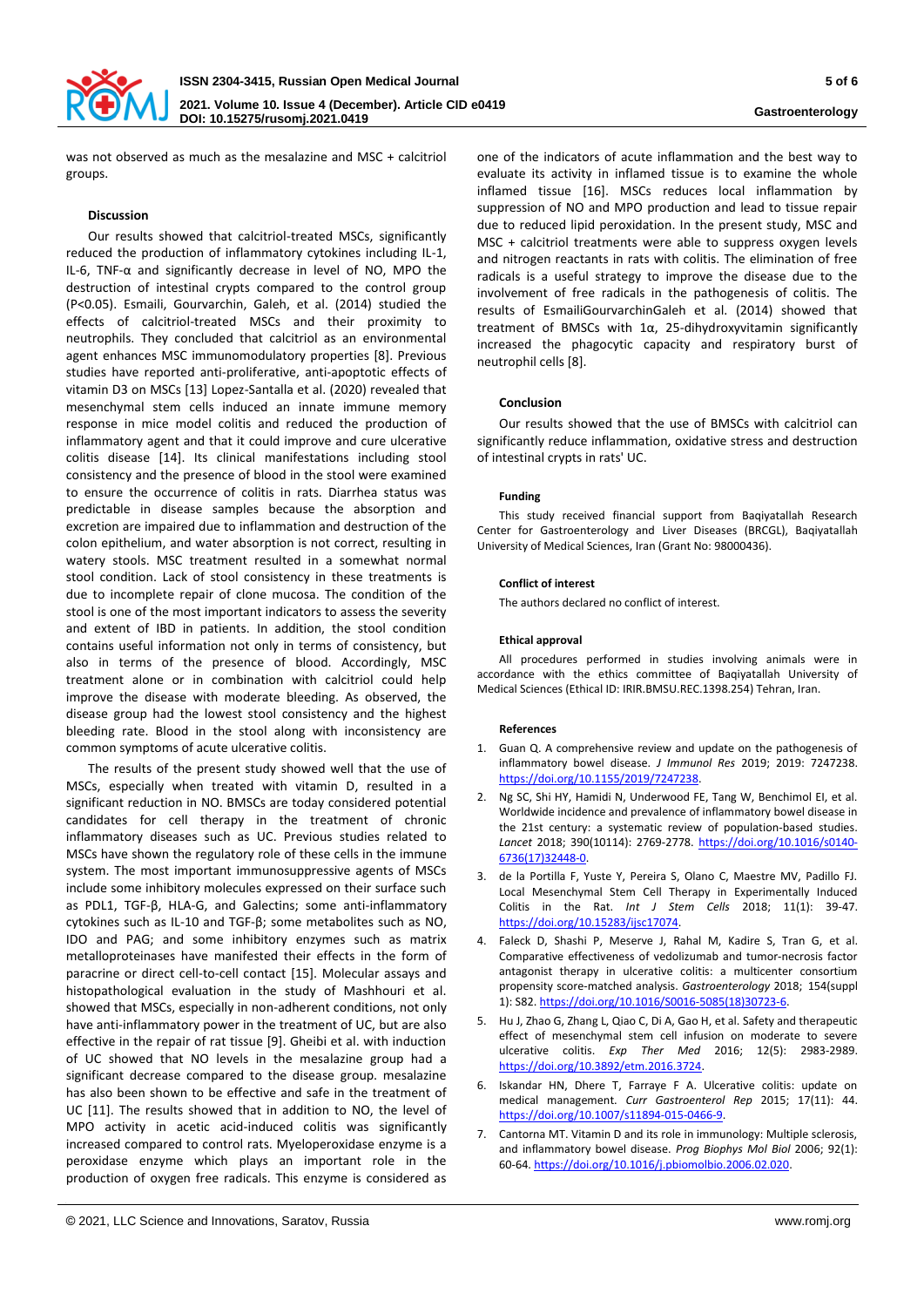

was not observed as much as the mesalazine and MSC + calcitriol groups.

#### **Discussion**

Our results showed that calcitriol-treated MSCs, significantly reduced the production of inflammatory cytokines including IL-1, IL-6, TNF-α and significantly decrease in level of NO, MPO the destruction of intestinal crypts compared to the control group (P<0.05). Esmaili, Gourvarchin, Galeh, et al. (2014) studied the effects of calcitriol-treated MSCs and their proximity to neutrophils. They concluded that calcitriol as an environmental agent enhances MSC immunomodulatory properties [8]. Previous studies have reported anti-proliferative, anti-apoptotic effects of vitamin D3 on MSCs [13] Lopez-Santalla et al. (2020) revealed that mesenchymal stem cells induced an innate immune memory response in mice model colitis and reduced the production of inflammatory agent and that it could improve and cure ulcerative colitis disease [14]. Its clinical manifestations including stool consistency and the presence of blood in the stool were examined to ensure the occurrence of colitis in rats. Diarrhea status was predictable in disease samples because the absorption and excretion are impaired due to inflammation and destruction of the colon epithelium, and water absorption is not correct, resulting in watery stools. MSC treatment resulted in a somewhat normal stool condition. Lack of stool consistency in these treatments is due to incomplete repair of clone mucosa. The condition of the stool is one of the most important indicators to assess the severity and extent of IBD in patients. In addition, the stool condition contains useful information not only in terms of consistency, but also in terms of the presence of blood. Accordingly, MSC treatment alone or in combination with calcitriol could help improve the disease with moderate bleeding. As observed, the disease group had the lowest stool consistency and the highest bleeding rate. Blood in the stool along with inconsistency are common symptoms of acute ulcerative colitis.

The results of the present study showed well that the use of MSCs, especially when treated with vitamin D, resulted in a significant reduction in NO. BMSCs are today considered potential candidates for cell therapy in the treatment of chronic inflammatory diseases such as UC. Previous studies related to MSCs have shown the regulatory role of these cells in the immune system. The most important immunosuppressive agents of MSCs include some inhibitory molecules expressed on their surface such as PDL1, TGF-β, HLA-G, and Galectins; some anti-inflammatory cytokines such as IL-10 and TGF-β; some metabolites such as NO, IDO and PAG; and some inhibitory enzymes such as matrix metalloproteinases have manifested their effects in the form of paracrine or direct cell-to-cell contact [15]. Molecular assays and histopathological evaluation in the study of Mashhouri et al. showed that MSCs, especially in non-adherent conditions, not only have anti-inflammatory power in the treatment of UC, but are also effective in the repair of rat tissue [9]. Gheibi et al. with induction of UC showed that NO levels in the mesalazine group had a significant decrease compared to the disease group. mesalazine has also been shown to be effective and safe in the treatment of UC [11]. The results showed that in addition to NO, the level of MPO activity in acetic acid-induced colitis was significantly increased compared to control rats. Myeloperoxidase enzyme is a peroxidase enzyme which plays an important role in the production of oxygen free radicals. This enzyme is considered as one of the indicators of acute inflammation and the best way to evaluate its activity in inflamed tissue is to examine the whole inflamed tissue [16]. MSCs reduces local inflammation by suppression of NO and MPO production and lead to tissue repair due to reduced lipid peroxidation. In the present study, MSC and MSC + calcitriol treatments were able to suppress oxygen levels and nitrogen reactants in rats with colitis. The elimination of free radicals is a useful strategy to improve the disease due to the involvement of free radicals in the pathogenesis of colitis. The results of EsmailiGourvarchinGaleh et al. (2014) showed that treatment of BMSCs with 1α, 25-dihydroxyvitamin significantly increased the phagocytic capacity and respiratory burst of neutrophil cells [8].

### **Conclusion**

Our results showed that the use of BMSCs with calcitriol can significantly reduce inflammation, oxidative stress and destruction of intestinal crypts in rats' UC.

#### **Funding**

This study received financial support from Baqiyatallah Research Center for Gastroenterology and Liver Diseases (BRCGL), Baqiyatallah University of Medical Sciences, Iran (Grant No: 98000436).

#### **Conflict of interest**

The authors declared no conflict of interest.

#### **Ethical approval**

All procedures performed in studies involving animals were in accordance with the ethics committee of Baqiyatallah University of Medical Sciences (Ethical ID: IRIR.BMSU.REC.1398.254) Tehran, Iran.

#### **References**

- 1. Guan Q. A comprehensive review and update on the pathogenesis of inflammatory bowel disease. *J Immunol Res* 2019; 2019: 7247238. [https://doi.org/10.1155/2019/7247238.](https://doi.org/10.1155/2019/7247238)
- 2. Ng SC, Shi HY, Hamidi N, Underwood FE, Tang W, Benchimol EI, et al. Worldwide incidence and prevalence of inflammatory bowel disease in the 21st century: a systematic review of population-based studies. *Lancet* 2018; 390(10114): 2769-2778. [https://doi.org/10.1016/s0140-](https://doi.org/10.1016/s0140-6736(17)32448-0) [6736\(17\)32448-0.](https://doi.org/10.1016/s0140-6736(17)32448-0)
- 3. de la Portilla F, Yuste Y, Pereira S, Olano C, Maestre MV, Padillo FJ. Local Mesenchymal Stem Cell Therapy in Experimentally Induced Colitis in the Rat. *Int J Stem Cells* 2018; 11(1): 39-47. [https://doi.org/10.15283/ijsc17074.](https://doi.org/10.15283/ijsc17074)
- 4. Faleck D, Shashi P, Meserve J, Rahal M, Kadire S, Tran G, et al. Comparative effectiveness of vedolizumab and tumor‐necrosis factor antagonist therapy in ulcerative colitis: a multicenter consortium propensity score‐matched analysis. *Gastroenterology* 2018; 154(suppl 1): S82[. https://doi.org/10.1016/S0016-5085\(18\)30723-6.](https://doi.org/10.1016/S0016-5085(18)30723-6)
- 5. Hu J, Zhao G, Zhang L, Qiao C, Di A, Gao H, et al. Safety and therapeutic effect of mesenchymal stem cell infusion on moderate to severe ulcerative colitis. *Exp Ther Med* 2016; 12(5): 2983-2989. [https://doi.org/10.3892/etm.2016.3724.](https://doi.org/10.3892/etm.2016.3724)
- 6. Iskandar HN, Dhere T, Farraye F A. Ulcerative colitis: update on medical management. *Curr Gastroenterol Rep* 2015; 17(11): 44. [https://doi.org/10.1007/s11894-015-0466-9.](https://doi.org/10.1007/s11894-015-0466-9)
- 7. Cantorna MT. Vitamin D and its role in immunology: Multiple sclerosis, and inflammatory bowel disease. *Prog Biophys Mol Biol* 2006; 92(1): 60-64. [https://doi.org/10.1016/j.pbiomolbio.2006.02.020.](https://doi.org/10.1016/j.pbiomolbio.2006.02.020)